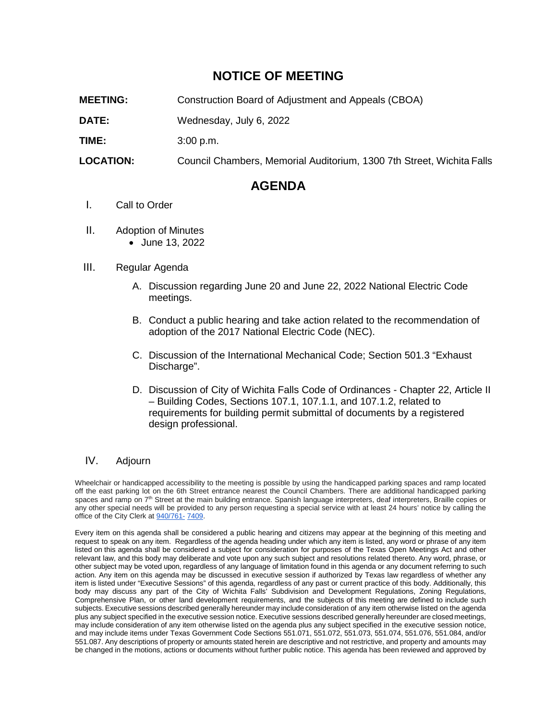# **NOTICE OF MEETING**

**MEETING:** Construction Board of Adjustment and Appeals (CBOA)

**DATE:** Wednesday, July 6, 2022

**TIME:** 3:00 p.m.

**LOCATION:** Council Chambers, Memorial Auditorium, 1300 7th Street, Wichita Falls

# **AGENDA**

#### I. Call to Order

- II. Adoption of Minutes
	- June 13, 2022

#### III. Regular Agenda

- A. Discussion regarding June 20 and June 22, 2022 National Electric Code meetings.
- B. Conduct a public hearing and take action related to the recommendation of adoption of the 2017 National Electric Code (NEC).
- C. Discussion of the International Mechanical Code; Section 501.3 "Exhaust Discharge".
- D. Discussion of City of Wichita Falls Code of Ordinances Chapter 22, Article II – Building Codes, Sections 107.1, 107.1.1, and 107.1.2, related to requirements for building permit submittal of documents by a registered design professional.

### IV. Adjourn

Wheelchair or handicapped accessibility to the meeting is possible by using the handicapped parking spaces and ramp located off the east parking lot on the 6th Street entrance nearest the Council Chambers. There are additional handicapped parking spaces and ramp on 7<sup>th</sup> Street at the main building entrance. Spanish language interpreters, deaf interpreters, Braille copies or any other special needs will be provided to any person requesting a special service with at least 24 hours' notice by calling the office of the City Clerk at 940/761- 7409.

Every item on this agenda shall be considered a public hearing and citizens may appear at the beginning of this meeting and request to speak on any item. Regardless of the agenda heading under which any item is listed, any word or phrase of any item listed on this agenda shall be considered a subject for consideration for purposes of the Texas Open Meetings Act and other relevant law, and this body may deliberate and vote upon any such subject and resolutions related thereto. Any word, phrase, or other subject may be voted upon, regardless of any language of limitation found in this agenda or any document referring to such action. Any item on this agenda may be discussed in executive session if authorized by Texas law regardless of whether any item is listed under "Executive Sessions" of this agenda, regardless of any past or current practice of this body. Additionally, this body may discuss any part of the City of Wichita Falls' Subdivision and Development Regulations, Zoning Regulations, Comprehensive Plan, or other land development requirements, and the subjects of this meeting are defined to include such subjects. Executive sessions described generally hereunder may include consideration of any item otherwise listed on the agenda plus any subject specified in the executive session notice. Executive sessions described generally hereunder are closed meetings, may include consideration of any item otherwise listed on the agenda plus any subject specified in the executive session notice, and may include items under Texas Government Code Sections 551.071, 551.072, 551.073, 551.074, 551.076, 551.084, and/or 551.087. Any descriptions of property or amounts stated herein are descriptive and not restrictive, and property and amounts may be changed in the motions, actions or documents without further public notice. This agenda has been reviewed and approved by